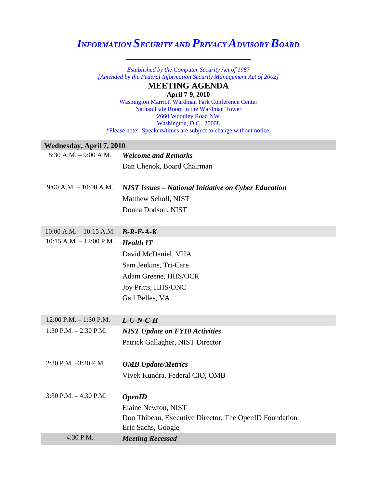## *INFORMATION SECURITY AND PRIVACY ADVISORY BOARD*  **\_\_\_\_\_\_\_\_\_\_\_\_\_\_\_\_\_\_\_\_\_\_\_\_\_\_\_\_\_**

*Established by the Computer Security Act of 1987 [Amended by the Federal Information Security Management Act of 2002]* 

## **MEETING AGENDA**

**April 7-9, 2010**

Washington Marriott Wardman Park Conference Center Nathan Hale Room in the Wardman Tower 2660 Woodley Road NW Washington, D.C. 20008 \*Please note: Speakers/times are subject to change without notice.

## **Wednesday, April 7, 2010**

| $8:30$ A.M. $-9:00$ A.M.    | <b>Welcome and Remarks</b>                                  |
|-----------------------------|-------------------------------------------------------------|
|                             | Dan Chenok, Board Chairman                                  |
|                             |                                                             |
| $9:00$ A.M. $-10:00$ A.M.   | <b>NIST Issues - National Initiative on Cyber Education</b> |
|                             | Matthew Scholl, NIST                                        |
|                             | Donna Dodson, NIST                                          |
|                             |                                                             |
| $10:00$ A.M. $- 10:15$ A.M. | $B-R-E-A-K$                                                 |
| 10:15 A.M. - 12:00 P.M.     | <b>Health IT</b>                                            |
|                             | David McDaniel, VHA                                         |
|                             | Sam Jenkins, Tri-Care                                       |
|                             | Adam Greene, HHS/OCR                                        |
|                             | Joy Pritts, HHS/ONC                                         |
|                             | Gail Belles, VA                                             |
|                             |                                                             |
| 12:00 P.M. $-$ 1:30 P.M.    | $L$ -U-N-C-H                                                |
| 1:30 P.M. $- 2:30$ P.M.     | <b>NIST Update on FY10 Activities</b>                       |
|                             | Patrick Gallagher, NIST Director                            |
|                             |                                                             |
| 2:30 P.M. -3:30 P.M.        | <b>OMB</b> Update/Metrics                                   |
|                             | Vivek Kundra, Federal CIO, OMB                              |
|                             |                                                             |
| $3:30$ P.M. $-4:30$ P.M.    | <b>OpenID</b>                                               |
|                             | Elaine Newton, NIST                                         |
|                             | Don Thibeau, Executive Director, The OpenID Foundation      |
|                             | Eric Sachs, Google                                          |
| 4:30 P.M.                   | <b>Meeting Recessed</b>                                     |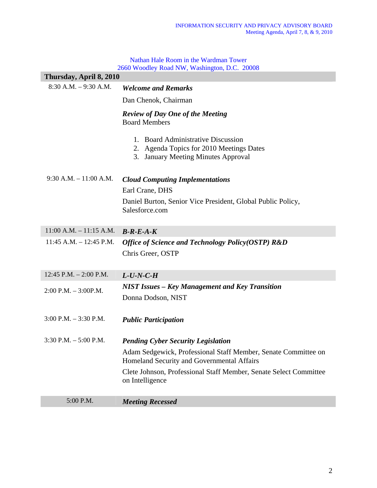Nathan Hale Room in the Wardman Tower 2660 Woodley Road NW, Washington, D.C. 20008

| Thursday, April 8, 2010     |                                                                                                                          |
|-----------------------------|--------------------------------------------------------------------------------------------------------------------------|
| $8:30 A.M. - 9:30 A.M.$     | <b>Welcome and Remarks</b>                                                                                               |
|                             | Dan Chenok, Chairman                                                                                                     |
|                             | <b>Review of Day One of the Meeting</b><br><b>Board Members</b>                                                          |
|                             | 1. Board Administrative Discussion<br>Agenda Topics for 2010 Meetings Dates<br>2.<br>3. January Meeting Minutes Approval |
| $9:30$ A.M. $-11:00$ A.M.   | <b>Cloud Computing Implementations</b>                                                                                   |
|                             | Earl Crane, DHS                                                                                                          |
|                             | Daniel Burton, Senior Vice President, Global Public Policy,<br>Salesforce.com                                            |
| $11:00$ A.M. $- 11:15$ A.M. | $B-R-E-A-K$                                                                                                              |
| $11:45$ A.M. $- 12:45$ P.M. | Office of Science and Technology Policy(OSTP) R&D<br>Chris Greer, OSTP                                                   |
| 12:45 P.M. $- 2:00$ P.M.    | $L$ -U-N-C-H                                                                                                             |
| $2:00$ P.M. $-3:00$ P.M.    | <b>NIST Issues - Key Management and Key Transition</b><br>Donna Dodson, NIST                                             |
| $3:00$ P.M. $-3:30$ P.M.    | <b>Public Participation</b>                                                                                              |
| $3:30$ P.M. $-5:00$ P.M.    | <b>Pending Cyber Security Legislation</b>                                                                                |
|                             | Adam Sedgewick, Professional Staff Member, Senate Committee on<br>Homeland Security and Governmental Affairs             |
|                             | Clete Johnson, Professional Staff Member, Senate Select Committee<br>on Intelligence                                     |
| 5:00 P.M.                   | <b>Meeting Recessed</b>                                                                                                  |